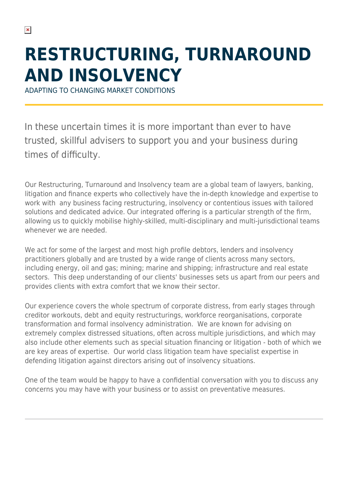# **RESTRUCTURING, TURNAROUND AND INSOLVENCY**

ADAPTING TO CHANGING MARKET CONDITIONS

In these uncertain times it is more important than ever to have trusted, skillful advisers to support you and your business during times of difficulty.

Our Restructuring, Turnaround and Insolvency team are a global team of lawyers, banking, litigation and finance experts who collectively have the in-depth knowledge and expertise to work with any business facing restructuring, insolvency or contentious issues with tailored solutions and dedicated advice. Our integrated offering is a particular strength of the firm, allowing us to quickly mobilise highly-skilled, multi-disciplinary and multi-jurisdictional teams whenever we are needed.

We act for some of the largest and most high profile debtors, lenders and insolvency practitioners globally and are trusted by a wide range of clients across many sectors, including energy, oil and gas; mining; marine and shipping; infrastructure and real estate sectors. This deep understanding of our clients' businesses sets us apart from our peers and provides clients with extra comfort that we know their sector.

Our experience covers the whole spectrum of corporate distress, from early stages through creditor workouts, debt and equity restructurings, workforce reorganisations, corporate transformation and formal insolvency administration. We are known for advising on extremely complex distressed situations, often across multiple jurisdictions, and which may also include other elements such as special situation financing or litigation - both of which we are key areas of expertise. Our world class litigation team have specialist expertise in defending litigation against directors arising out of insolvency situations.

One of the team would be happy to have a confidential conversation with you to discuss any concerns you may have with your business or to assist on preventative measures.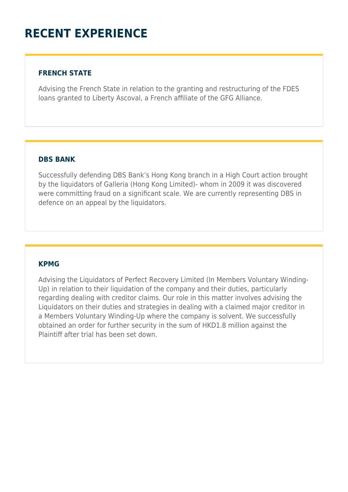## **RECENT EXPERIENCE**

#### **FRENCH STATE**

Advising the French State in relation to the granting and restructuring of the FDES loans granted to Liberty Ascoval, a French affiliate of the GFG Alliance.

#### **DBS BANK**

Successfully defending DBS Bank's Hong Kong branch in a High Court action brought by the liquidators of Galleria (Hong Kong Limited)- whom in 2009 it was discovered were committing fraud on a significant scale. We are currently representing DBS in defence on an appeal by the liquidators.

#### **KPMG**

Advising the Liquidators of Perfect Recovery Limited (In Members Voluntary Winding-Up) in relation to their liquidation of the company and their duties, particularly regarding dealing with creditor claims. Our role in this matter involves advising the Liquidators on their duties and strategies in dealing with a claimed major creditor in a Members Voluntary Winding-Up where the company is solvent. We successfully obtained an order for further security in the sum of HKD1.8 million against the Plaintiff after trial has been set down.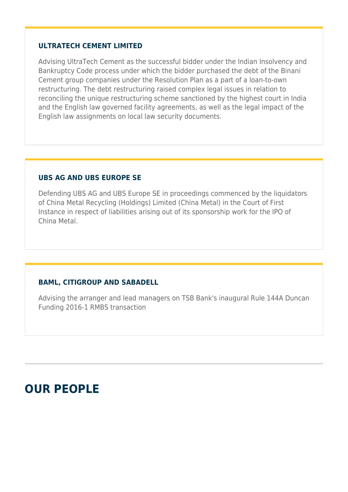#### **ULTRATECH CEMENT LIMITED**

Advising UltraTech Cement as the successful bidder under the Indian Insolvency and Bankruptcy Code process under which the bidder purchased the debt of the Binani Cement group companies under the Resolution Plan as a part of a loan-to-own restructuring. The debt restructuring raised complex legal issues in relation to reconciling the unique restructuring scheme sanctioned by the highest court in India and the English law governed facility agreements, as well as the legal impact of the English law assignments on local law security documents.

#### **UBS AG AND UBS EUROPE SE**

Defending UBS AG and UBS Europe SE in proceedings commenced by the liquidators of China Metal Recycling (Holdings) Limited (China Metal) in the Court of First Instance in respect of liabilities arising out of its sponsorship work for the IPO of China Metal.

#### **BAML, CITIGROUP AND SABADELL**

Advising the arranger and lead managers on TSB Bank's inaugural Rule 144A Duncan Funding 2016-1 RMBS transaction

### **OUR PEOPLE**